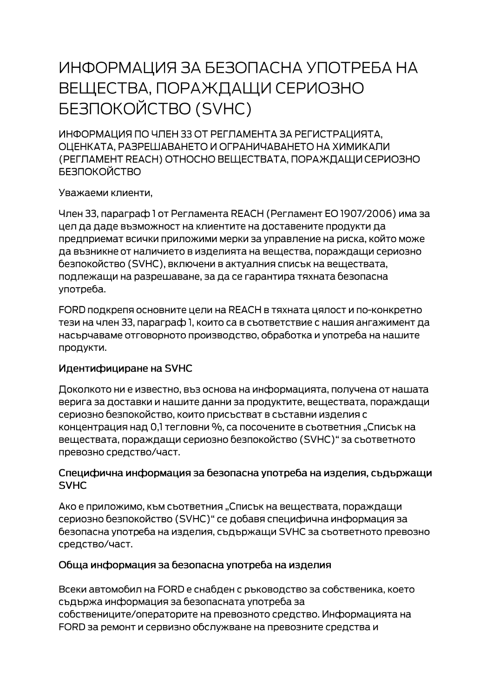# ИНФОРМАЦИЯ ЗА БЕЗОПАСНА УПОТРЕБА НА ВЕЩЕСТВА, ПОРАЖДАЩИ СЕРИОЗНО **БЕЗПОКОЙСТВО (SVHC)**

ИНФОРМАЦИЯ ПО ЧЛЕН 33 ОТ РЕГЛАМЕНТА ЗА РЕГИСТРАЦИЯТА. ОЦЕНКАТА, РАЗРЕШАВАНЕТО И ОГРАНИЧАВАНЕТО НА ХИМИКАЛИ (РЕГЛАМЕНТ REACH) ОТНОСНО ВЕЩЕСТВАТА, ПОРАЖДАЩИ СЕРИОЗНО **БЕЗПОКОЙСТВО** 

Уважаеми клиенти,

Член 33, параграф 1 от Регламента REACH (Регламент ЕО 1907/2006) има за цел да даде възможност на клиентите на доставените продукти да предприемат всички приложими мерки за управление на риска, който може да възникне от наличието в изделията на вещества, пораждащи сериозно безпокойство (SVHC), включени в актуалния списък на веществата, подлежащи на разрешаване, за да се гарантира тяхната безопасна употреба.

FORD подкрепя основните цели на REACH в тяхната цялост и по-конкретно тези на член 33, параграф 1, които са в съответствие с нашия ангажимент да насърчаваме отговорното производство, обработка и употреба на нашите продукти.

## Идентифициране на SVHC

Доколкото ни е известно, въз основа на информацията, получена от нашата верига за доставки и нашите данни за продуктите, веществата, пораждащи сериозно безпокойство, които присъстват в съставни изделия с концентрация над 0,1 тегловни %, са посочените в съответния "Списък на веществата, пораждащи сериозно безпокойство (SVHC)" за съответното превозно средство/част.

#### Специфична информация за безопасна употреба на изделия, съдържащи **SVHC**

Ако е приложимо, към съответния "Списък на веществата, пораждащи сериозно безпокойство (SVHC)" се добавя специфична информация за безопасна употреба на изделия, съдържащи SVHC за съответното превозно средство/част.

## Обща информация за безопасна употреба на изделия

Всеки автомобил на FORD е снабден с ръководство за собственика, което съдържа информация за безопасната употреба за собствениците/операторите на превозното средство. Информацията на FORD за ремонт и сервизно обслужване на превозните средства и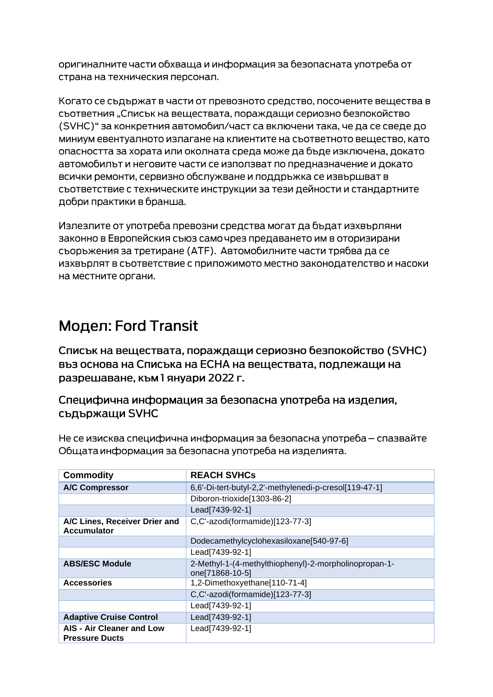оригиналните части обхваща и информация за безопасната употреба от страна на техническия персонал.

Когато се съдържат в части от превозното средство, посочените вещества в съответния "Списък на веществата, пораждащи сериозно безпокойство (SVHC)" за конкретния автомобил/част са включени така, че да се сведе до миниум евентуалното излагане на клиентите на съответното вещество, като опасността за хората или околната среда може да бъде изключена, докато автомобилът и неговите части се използват по предназначение и докато всички ремонти, сервизно обслужване и поддръжка се извършват в съответствие с техническите инструкции за тези дейности и стандартните добри практики в бранша.

Излезлите от употреба превозни средства могат да бъдат изхвърляни законно в Европейския съюз само чрез предаването им в оторизирани сьоръжения за третиране (АТЕ). Автомобилните части трябва да се изхвърлят в съответствие с приложимото местно законодателство и насоки на местните органи.

# Модел: Ford Transit

Списък на веществата, пораждащи сериозно безпокойство (SVHC) въз основа на Списъка на ЕСНА на веществата, подлежащи на разрешаване, към 1 януари 2022 г.

Специфична информация за безопасна употреба на изделия, съдържащи SVHC

Не се изисква специфична информация за безопасна употреба – спазвайте Общата информация за безопасна употреба на изделията.

| <b>Commodity</b>                                          | <b>REACH SVHCs</b>                                                       |
|-----------------------------------------------------------|--------------------------------------------------------------------------|
| <b>A/C Compressor</b>                                     | 6,6'-Di-tert-butyl-2,2'-methylenedi-p-cresol[119-47-1]                   |
|                                                           | Diboron-trioxide[1303-86-2]                                              |
|                                                           | Lead[7439-92-1]                                                          |
| A/C Lines, Receiver Drier and<br><b>Accumulator</b>       | C,C'-azodi(formamide)[123-77-3]                                          |
|                                                           | Dodecamethylcyclohexasiloxane[540-97-6]                                  |
|                                                           | Lead[7439-92-1]                                                          |
| <b>ABS/ESC Module</b>                                     | 2-Methyl-1-(4-methylthiophenyl)-2-morpholinopropan-1-<br>one[71868-10-5] |
| <b>Accessories</b>                                        | 1,2-Dimethoxyethane[110-71-4]                                            |
|                                                           | C,C'-azodi(formamide)[123-77-3]                                          |
|                                                           | Lead[7439-92-1]                                                          |
| <b>Adaptive Cruise Control</b>                            | Lead[7439-92-1]                                                          |
| <b>AIS - Air Cleaner and Low</b><br><b>Pressure Ducts</b> | Lead[7439-92-1]                                                          |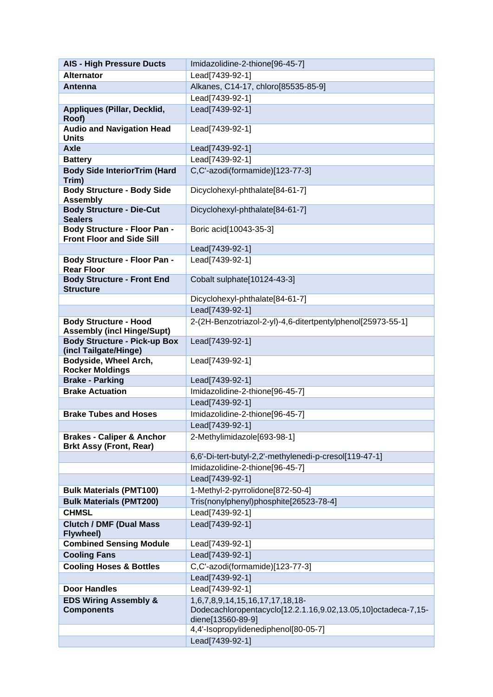| <b>AIS - High Pressure Ducts</b>                                       | Imidazolidine-2-thione[96-45-7]                                                    |
|------------------------------------------------------------------------|------------------------------------------------------------------------------------|
| <b>Alternator</b>                                                      | Lead[7439-92-1]                                                                    |
| Antenna                                                                | Alkanes, C14-17, chloro[85535-85-9]                                                |
|                                                                        | Lead[7439-92-1]                                                                    |
| Appliques (Pillar, Decklid,<br>Roof)                                   | Lead[7439-92-1]                                                                    |
| <b>Audio and Navigation Head</b><br><b>Units</b>                       | Lead[7439-92-1]                                                                    |
| <b>Axle</b>                                                            | Lead[7439-92-1]                                                                    |
| <b>Battery</b>                                                         | Lead[7439-92-1]                                                                    |
| <b>Body Side InteriorTrim (Hard</b><br>Trim)                           | C,C'-azodi(formamide)[123-77-3]                                                    |
| <b>Body Structure - Body Side</b><br><b>Assembly</b>                   | Dicyclohexyl-phthalate[84-61-7]                                                    |
| <b>Body Structure - Die-Cut</b><br><b>Sealers</b>                      | Dicyclohexyl-phthalate[84-61-7]                                                    |
| Body Structure - Floor Pan -<br><b>Front Floor and Side Sill</b>       | Boric acid[10043-35-3]                                                             |
|                                                                        | Lead[7439-92-1]                                                                    |
| <b>Body Structure - Floor Pan -</b><br><b>Rear Floor</b>               | Lead[7439-92-1]                                                                    |
| <b>Body Structure - Front End</b><br><b>Structure</b>                  | Cobalt sulphate[10124-43-3]                                                        |
|                                                                        | Dicyclohexyl-phthalate[84-61-7]                                                    |
|                                                                        | Lead[7439-92-1]                                                                    |
| <b>Body Structure - Hood</b><br><b>Assembly (incl Hinge/Supt)</b>      | 2-(2H-Benzotriazol-2-yl)-4,6-ditertpentylphenol[25973-55-1]                        |
| <b>Body Structure - Pick-up Box</b><br>(incl Tailgate/Hinge)           | Lead[7439-92-1]                                                                    |
| Bodyside, Wheel Arch,<br><b>Rocker Moldings</b>                        | Lead[7439-92-1]                                                                    |
| <b>Brake - Parking</b>                                                 | Lead[7439-92-1]                                                                    |
| <b>Brake Actuation</b>                                                 | Imidazolidine-2-thione[96-45-7]                                                    |
|                                                                        | Lead[7439-92-1]                                                                    |
| <b>Brake Tubes and Hoses</b>                                           | Imidazolidine-2-thione[96-45-7]                                                    |
|                                                                        | Lead[7439-92-1]                                                                    |
| <b>Brakes - Caliper &amp; Anchor</b><br><b>Brkt Assy (Front, Rear)</b> | 2-Methylimidazole[693-98-1]                                                        |
|                                                                        | 6,6'-Di-tert-butyl-2,2'-methylenedi-p-cresol[119-47-1]                             |
|                                                                        | Imidazolidine-2-thione[96-45-7]<br>Lead[7439-92-1]                                 |
| <b>Bulk Materials (PMT100)</b>                                         | 1-Methyl-2-pyrrolidone[872-50-4]                                                   |
| <b>Bulk Materials (PMT200)</b>                                         | Tris(nonylphenyl)phosphite[26523-78-4]                                             |
| <b>CHMSL</b>                                                           | Lead[7439-92-1]                                                                    |
| <b>Clutch / DMF (Dual Mass</b><br><b>Flywheel)</b>                     | Lead[7439-92-1]                                                                    |
| <b>Combined Sensing Module</b>                                         | Lead[7439-92-1]                                                                    |
| <b>Cooling Fans</b>                                                    | Lead[7439-92-1]                                                                    |
| <b>Cooling Hoses &amp; Bottles</b>                                     | C,C'-azodi(formamide)[123-77-3]                                                    |
|                                                                        | Lead[7439-92-1]                                                                    |
| <b>Door Handles</b>                                                    | Lead[7439-92-1]                                                                    |
| <b>EDS Wiring Assembly &amp;</b>                                       | 1,6,7,8,9,14,15,16,17,17,18,18-                                                    |
| <b>Components</b>                                                      | Dodecachloropentacyclo[12.2.1.16,9.02,13.05,10]octadeca-7,15-<br>diene[13560-89-9] |
|                                                                        | 4,4'-Isopropylidenediphenol[80-05-7]                                               |
|                                                                        | Lead[7439-92-1]                                                                    |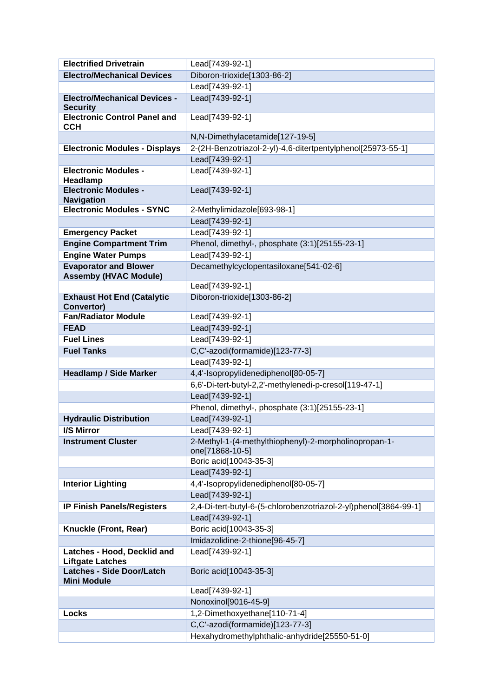| <b>Electrified Drivetrain</b>                          | Lead[7439-92-1]                                                  |
|--------------------------------------------------------|------------------------------------------------------------------|
| <b>Electro/Mechanical Devices</b>                      | Diboron-trioxide[1303-86-2]                                      |
|                                                        | Lead[7439-92-1]                                                  |
| <b>Electro/Mechanical Devices -</b><br><b>Security</b> | Lead[7439-92-1]                                                  |
| <b>Electronic Control Panel and</b><br><b>CCH</b>      | Lead[7439-92-1]                                                  |
|                                                        | N,N-Dimethylacetamide[127-19-5]                                  |
| <b>Electronic Modules - Displays</b>                   | 2-(2H-Benzotriazol-2-yl)-4,6-ditertpentylphenol[25973-55-1]      |
|                                                        | Lead[7439-92-1]                                                  |
| <b>Electronic Modules -</b><br>Headlamp                | Lead[7439-92-1]                                                  |
| <b>Electronic Modules -</b><br><b>Navigation</b>       | Lead[7439-92-1]                                                  |
| <b>Electronic Modules - SYNC</b>                       | 2-Methylimidazole[693-98-1]                                      |
|                                                        | Lead[7439-92-1]                                                  |
| <b>Emergency Packet</b>                                | Lead[7439-92-1]                                                  |
| <b>Engine Compartment Trim</b>                         | Phenol, dimethyl-, phosphate (3:1)[25155-23-1]                   |
| <b>Engine Water Pumps</b>                              | Lead[7439-92-1]                                                  |
| <b>Evaporator and Blower</b>                           | Decamethylcyclopentasiloxane[541-02-6]                           |
| <b>Assemby (HVAC Module)</b>                           |                                                                  |
|                                                        | Lead[7439-92-1]                                                  |
| <b>Exhaust Hot End (Catalytic</b><br><b>Convertor)</b> | Diboron-trioxide[1303-86-2]                                      |
| <b>Fan/Radiator Module</b>                             | Lead[7439-92-1]                                                  |
| <b>FEAD</b>                                            | Lead[7439-92-1]                                                  |
| <b>Fuel Lines</b>                                      | Lead[7439-92-1]                                                  |
| <b>Fuel Tanks</b>                                      | C,C'-azodi(formamide)[123-77-3]                                  |
|                                                        | Lead[7439-92-1]                                                  |
| <b>Headlamp / Side Marker</b>                          | 4,4'-Isopropylidenediphenol[80-05-7]                             |
|                                                        | 6,6'-Di-tert-butyl-2,2'-methylenedi-p-cresol[119-47-1]           |
|                                                        | Lead[7439-92-1]                                                  |
|                                                        | Phenol, dimethyl-, phosphate (3:1)[25155-23-1]                   |
| <b>Hydraulic Distribution</b>                          | Lead[7439-92-1]                                                  |
| <b>I/S Mirror</b>                                      | Lead[7439-92-1]                                                  |
| <b>Instrument Cluster</b>                              | 2-Methyl-1-(4-methylthiophenyl)-2-morpholinopropan-1-            |
|                                                        | one[71868-10-5]                                                  |
|                                                        | Boric acid[10043-35-3]<br>Lead[7439-92-1]                        |
| <b>Interior Lighting</b>                               |                                                                  |
|                                                        | 4,4'-Isopropylidenediphenol[80-05-7]<br>Lead[7439-92-1]          |
| <b>IP Finish Panels/Registers</b>                      | 2,4-Di-tert-butyl-6-(5-chlorobenzotriazol-2-yl)phenol[3864-99-1] |
|                                                        | Lead[7439-92-1]                                                  |
| Knuckle (Front, Rear)                                  | Boric acid[10043-35-3]                                           |
|                                                        | Imidazolidine-2-thione[96-45-7]                                  |
| Latches - Hood, Decklid and                            | Lead[7439-92-1]                                                  |
| <b>Liftgate Latches</b>                                |                                                                  |
| <b>Latches - Side Door/Latch</b><br><b>Mini Module</b> | Boric acid[10043-35-3]                                           |
|                                                        | Lead[7439-92-1]                                                  |
|                                                        | Nonoxinol[9016-45-9]                                             |
| Locks                                                  | 1,2-Dimethoxyethane[110-71-4]                                    |
|                                                        | C,C'-azodi(formamide)[123-77-3]                                  |
|                                                        | Hexahydromethylphthalic-anhydride[25550-51-0]                    |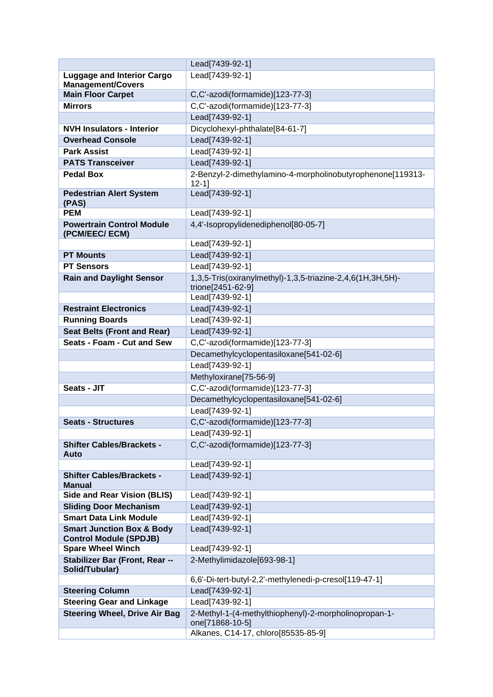|                                                                       | Lead[7439-92-1]                                                                 |
|-----------------------------------------------------------------------|---------------------------------------------------------------------------------|
| <b>Luggage and Interior Cargo</b>                                     | Lead[7439-92-1]                                                                 |
| <b>Management/Covers</b>                                              |                                                                                 |
| <b>Main Floor Carpet</b>                                              | C,C'-azodi(formamide)[123-77-3]                                                 |
| <b>Mirrors</b>                                                        | C,C'-azodi(formamide)[123-77-3]                                                 |
|                                                                       | Lead[7439-92-1]                                                                 |
| <b>NVH Insulators - Interior</b>                                      | Dicyclohexyl-phthalate[84-61-7]                                                 |
| <b>Overhead Console</b>                                               | Lead[7439-92-1]                                                                 |
| <b>Park Assist</b>                                                    | Lead[7439-92-1]                                                                 |
| <b>PATS Transceiver</b>                                               | Lead[7439-92-1]                                                                 |
| <b>Pedal Box</b>                                                      | 2-Benzyl-2-dimethylamino-4-morpholinobutyrophenone[119313-<br>$12 - 1$          |
| <b>Pedestrian Alert System</b><br>(PAS)                               | Lead[7439-92-1]                                                                 |
| <b>PEM</b>                                                            | Lead[7439-92-1]                                                                 |
| <b>Powertrain Control Module</b><br>(PCM/EEC/ ECM)                    | 4,4'-Isopropylidenediphenol[80-05-7]                                            |
|                                                                       | Lead[7439-92-1]                                                                 |
| <b>PT Mounts</b>                                                      | Lead[7439-92-1]                                                                 |
| <b>PT Sensors</b>                                                     | Lead[7439-92-1]                                                                 |
| <b>Rain and Daylight Sensor</b>                                       | 1,3,5-Tris(oxiranylmethyl)-1,3,5-triazine-2,4,6(1H,3H,5H)-<br>trione[2451-62-9] |
|                                                                       | Lead[7439-92-1]                                                                 |
| <b>Restraint Electronics</b>                                          | Lead[7439-92-1]                                                                 |
| <b>Running Boards</b>                                                 | Lead[7439-92-1]                                                                 |
| <b>Seat Belts (Front and Rear)</b>                                    | Lead[7439-92-1]                                                                 |
| Seats - Foam - Cut and Sew                                            | C,C'-azodi(formamide)[123-77-3]                                                 |
|                                                                       | Decamethylcyclopentasiloxane[541-02-6]                                          |
|                                                                       | Lead[7439-92-1]                                                                 |
|                                                                       | Methyloxirane[75-56-9]                                                          |
| Seats - JIT                                                           | C,C'-azodi(formamide)[123-77-3]                                                 |
|                                                                       | Decamethylcyclopentasiloxane[541-02-6]                                          |
|                                                                       | Lead[7439-92-1]                                                                 |
| <b>Seats - Structures</b>                                             | C,C'-azodi(formamide)[123-77-3]                                                 |
|                                                                       | Lead[7439-92-1]                                                                 |
| <b>Shifter Cables/Brackets -</b><br>Auto                              | C,C'-azodi(formamide)[123-77-3]                                                 |
|                                                                       | Lead[7439-92-1]                                                                 |
| <b>Shifter Cables/Brackets -</b><br><b>Manual</b>                     | Lead[7439-92-1]                                                                 |
| <b>Side and Rear Vision (BLIS)</b>                                    | Lead[7439-92-1]                                                                 |
| <b>Sliding Door Mechanism</b>                                         | Lead[7439-92-1]                                                                 |
| <b>Smart Data Link Module</b>                                         | Lead[7439-92-1]                                                                 |
| <b>Smart Junction Box &amp; Body</b><br><b>Control Module (SPDJB)</b> | Lead[7439-92-1]                                                                 |
| <b>Spare Wheel Winch</b>                                              | Lead[7439-92-1]                                                                 |
| Stabilizer Bar (Front, Rear --<br>Solid/Tubular)                      | 2-Methylimidazole[693-98-1]                                                     |
|                                                                       | 6,6'-Di-tert-butyl-2,2'-methylenedi-p-cresol[119-47-1]                          |
| <b>Steering Column</b>                                                | Lead[7439-92-1]                                                                 |
| <b>Steering Gear and Linkage</b>                                      | Lead[7439-92-1]                                                                 |
| <b>Steering Wheel, Drive Air Bag</b>                                  | 2-Methyl-1-(4-methylthiophenyl)-2-morpholinopropan-1-<br>one[71868-10-5]        |
|                                                                       | Alkanes, C14-17, chloro[85535-85-9]                                             |